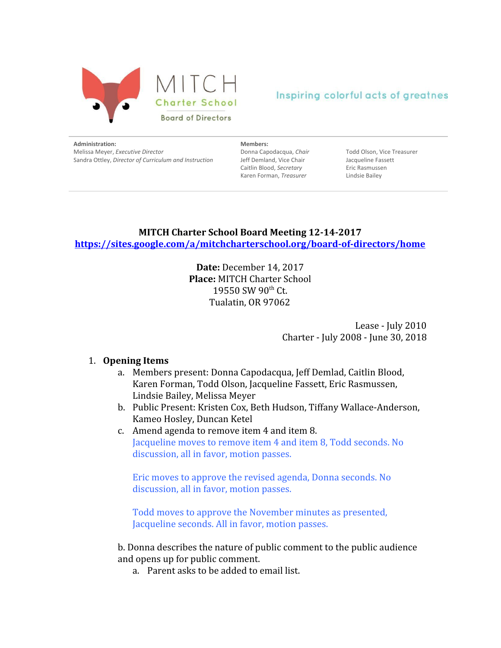



**Administration:**

Melissa Meyer, *Executive Director* Sandra Ottley, *Director of Curriculum and Instruction* **Members:**

Donna Capodacqua, *Chair* Jeff Demland, Vice Chair Caitlin Blood, *Secretary* Karen Forman, *Treasurer*

Todd Olson, Vice Treasurer Jacqueline Fassett Eric Rasmussen Lindsie Bailey

## **MITCH Charter School Board Meeting 12-14-2017 <https://sites.google.com/a/mitchcharterschool.org/board-of-directors/home>**

**Date:** December 14, 2017 **Place:** MITCH Charter School 19550 SW 90<sup>th</sup> Ct. Tualatin, OR 97062

> Lease - July 2010 Charter - July 2008 - June 30, 2018

#### 1. **Opening Items**

- a. Members present: Donna Capodacqua, Jeff Demlad, Caitlin Blood, Karen Forman, Todd Olson, Jacqueline Fassett, Eric Rasmussen, Lindsie Bailey, Melissa Meyer
- b. Public Present: Kristen Cox, Beth Hudson, Tiffany Wallace-Anderson, Kameo Hosley, Duncan Ketel
- c. Amend agenda to remove item 4 and item 8. Jacqueline moves to remove item 4 and item 8, Todd seconds. No discussion, all in favor, motion passes.

Eric moves to approve the revised agenda, Donna seconds. No discussion, all in favor, motion passes.

Todd moves to approve the November minutes as presented, Jacqueline seconds. All in favor, motion passes.

b. Donna describes the nature of public comment to the public audience and opens up for public comment.

a. Parent asks to be added to email list.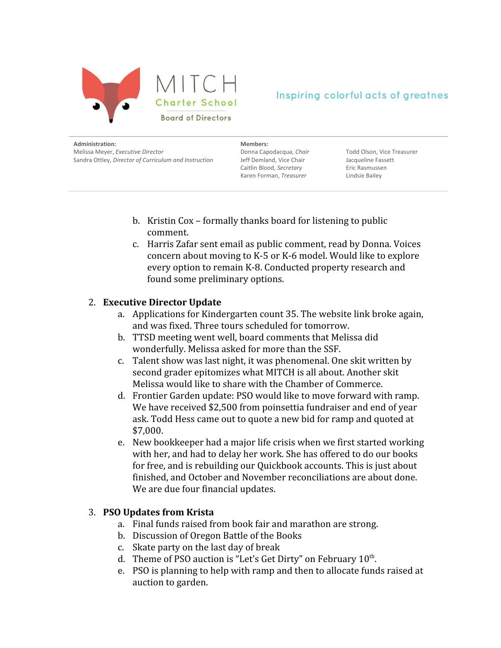

**Administration:** Melissa Meyer, *Executive Director* Sandra Ottley, *Director of Curriculum and Instruction*

**Members:** Donna Capodacqua, *Chair*

Jeff Demland, Vice Chair Caitlin Blood, *Secretary* Karen Forman, *Treasurer*

Todd Olson, Vice Treasurer Jacqueline Fassett Eric Rasmussen Lindsie Bailey

- b. Kristin Cox formally thanks board for listening to public comment.
- c. Harris Zafar sent email as public comment, read by Donna. Voices concern about moving to K-5 or K-6 model. Would like to explore every option to remain K-8. Conducted property research and found some preliminary options.

### 2. **Executive Director Update**

- a. Applications for Kindergarten count 35. The website link broke again, and was fixed. Three tours scheduled for tomorrow.
- b. TTSD meeting went well, board comments that Melissa did wonderfully. Melissa asked for more than the SSF.
- c. Talent show was last night, it was phenomenal. One skit written by second grader epitomizes what MITCH is all about. Another skit Melissa would like to share with the Chamber of Commerce.
- d. Frontier Garden update: PSO would like to move forward with ramp. We have received \$2,500 from poinsettia fundraiser and end of year ask. Todd Hess came out to quote a new bid for ramp and quoted at \$7,000.
- e. New bookkeeper had a major life crisis when we first started working with her, and had to delay her work. She has offered to do our books for free, and is rebuilding our Quickbook accounts. This is just about finished, and October and November reconciliations are about done. We are due four financial updates.

#### 3. **PSO Updates from Krista**

- a. Final funds raised from book fair and marathon are strong.
- b. Discussion of Oregon Battle of the Books
- c. Skate party on the last day of break
- d. Theme of PSO auction is "Let's Get Dirty" on February 10<sup>th</sup>.
- e. PSO is planning to help with ramp and then to allocate funds raised at auction to garden.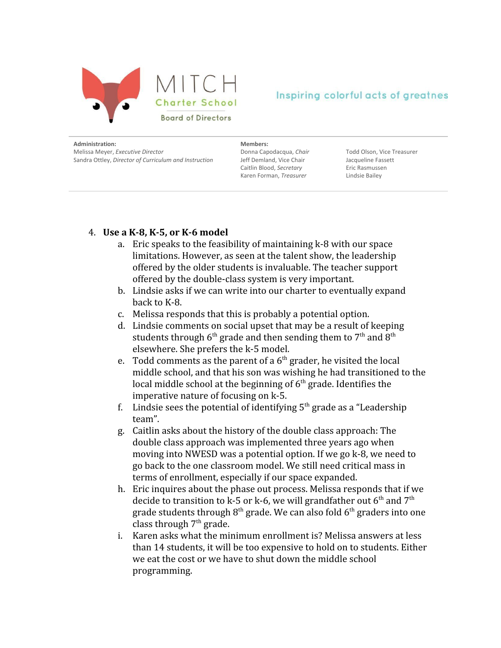

**Administration:** Melissa Meyer, *Executive Director* Sandra Ottley, *Director of Curriculum and Instruction* **Members:**

Donna Capodacqua, *Chair* Jeff Demland, Vice Chair Caitlin Blood, *Secretary* Karen Forman, *Treasurer*

Todd Olson, Vice Treasurer Jacqueline Fassett Eric Rasmussen Lindsie Bailey

### 4. **Use a K-8, K-5, or K-6 model**

- a. Eric speaks to the feasibility of maintaining k-8 with our space limitations. However, as seen at the talent show, the leadership offered by the older students is invaluable. The teacher support offered by the double-class system is very important.
- b. Lindsie asks if we can write into our charter to eventually expand back to K-8.
- c. Melissa responds that this is probably a potential option.
- d. Lindsie comments on social upset that may be a result of keeping students through  $6^{\text{th}}$  grade and then sending them to  $7^{\text{th}}$  and  $8^{\text{th}}$ elsewhere. She prefers the k-5 model.
- e. Todd comments as the parent of a  $6<sup>th</sup>$  grader, he visited the local middle school, and that his son was wishing he had transitioned to the local middle school at the beginning of 6<sup>th</sup> grade. Identifies the imperative nature of focusing on k-5.
- f. Lindsie sees the potential of identifying  $5<sup>th</sup>$  grade as a "Leadership team".
- g. Caitlin asks about the history of the double class approach: The double class approach was implemented three years ago when moving into NWESD was a potential option. If we go k-8, we need to go back to the one classroom model. We still need critical mass in terms of enrollment, especially if our space expanded.
- h. Eric inquires about the phase out process. Melissa responds that if we decide to transition to k-5 or k-6, we will grandfather out  $6^{\text{th}}$  and  $7^{\text{th}}$ grade students through  $8^{\rm th}$  grade. We can also fold  $6^{\rm th}$  graders into one class through 7<sup>th</sup> grade.
- i. Karen asks what the minimum enrollment is? Melissa answers at less than 14 students, it will be too expensive to hold on to students. Either we eat the cost or we have to shut down the middle school programming.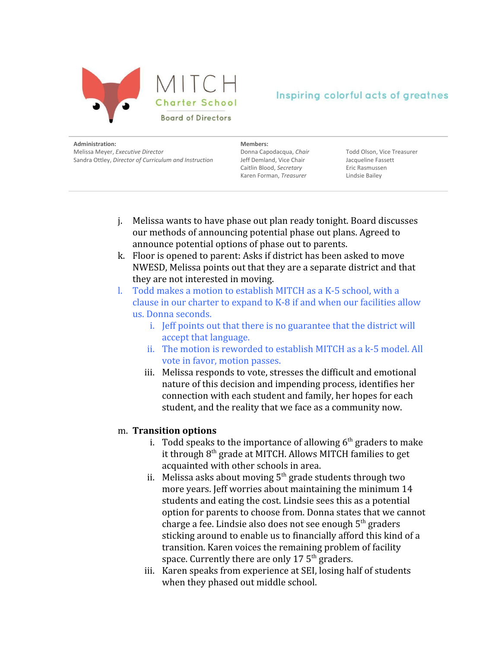

**Administration:** Melissa Meyer, *Executive Director* Sandra Ottley, *Director of Curriculum and Instruction* **Members:**

Donna Capodacqua, *Chair* Jeff Demland, Vice Chair Caitlin Blood, *Secretary* Karen Forman, *Treasurer*

Todd Olson, Vice Treasurer Jacqueline Fassett Eric Rasmussen Lindsie Bailey

- j. Melissa wants to have phase out plan ready tonight. Board discusses our methods of announcing potential phase out plans. Agreed to announce potential options of phase out to parents.
- k. Floor is opened to parent: Asks if district has been asked to move NWESD, Melissa points out that they are a separate district and that they are not interested in moving.
- l. Todd makes a motion to establish MITCH as a K-5 school, with a clause in our charter to expand to K-8 if and when our facilities allow us. Donna seconds.
	- i. Jeff points out that there is no guarantee that the district will accept that language.
	- ii. The motion is reworded to establish MITCH as a k-5 model. All vote in favor, motion passes.
	- iii. Melissa responds to vote, stresses the difficult and emotional nature of this decision and impending process, identifies her connection with each student and family, her hopes for each student, and the reality that we face as a community now.

#### m. **Transition options**

- i. Todd speaks to the importance of allowing  $6<sup>th</sup>$  graders to make it through 8<sup>th</sup> grade at MITCH. Allows MITCH families to get acquainted with other schools in area.
- ii. Melissa asks about moving 5<sup>th</sup> grade students through two more years. Jeff worries about maintaining the minimum 14 students and eating the cost. Lindsie sees this as a potential option for parents to choose from. Donna states that we cannot charge a fee. Lindsie also does not see enough 5<sup>th</sup> graders sticking around to enable us to financially afford this kind of a transition. Karen voices the remaining problem of facility space. Currently there are only 17  $5^{\text{th}}$  graders.
- iii. Karen speaks from experience at SEI, losing half of students when they phased out middle school.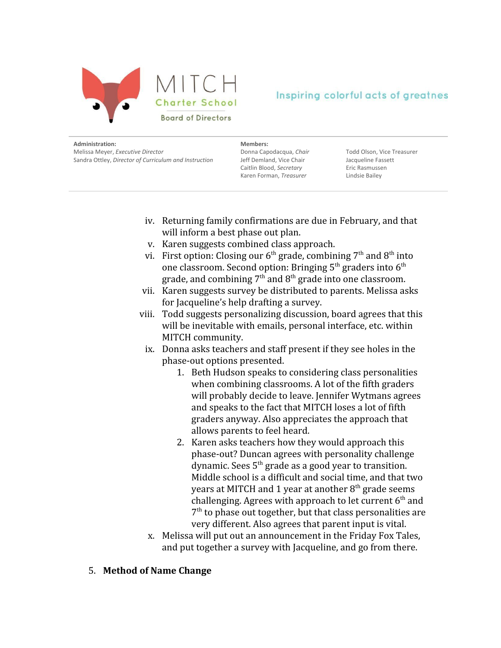

**Administration:** Melissa Meyer, *Executive Director* Sandra Ottley, *Director of Curriculum and Instruction*

**Members:** Donna Capodacqua, *Chair* Jeff Demland, Vice Chair Caitlin Blood, *Secretary* Karen Forman, *Treasurer*

Todd Olson, Vice Treasurer Jacqueline Fassett Eric Rasmussen Lindsie Bailey

- iv. Returning family confirmations are due in February, and that will inform a best phase out plan.
- v. Karen suggests combined class approach.
- vi. First option: Closing our 6<sup>th</sup> grade, combining 7<sup>th</sup> and 8<sup>th</sup> into one classroom. Second option: Bringing  $5^{\rm th}$  graders into  $6^{\rm th}$ grade, and combining  $7^{\text{th}}$  and  $8^{\text{th}}$  grade into one classroom.
- vii. Karen suggests survey be distributed to parents. Melissa asks for Jacqueline's help drafting a survey.
- viii. Todd suggests personalizing discussion, board agrees that this will be inevitable with emails, personal interface, etc. within MITCH community.
	- ix. Donna asks teachers and staff present if they see holes in the phase-out options presented.
		- 1. Beth Hudson speaks to considering class personalities when combining classrooms. A lot of the fifth graders will probably decide to leave. Jennifer Wytmans agrees and speaks to the fact that MITCH loses a lot of fifth graders anyway. Also appreciates the approach that allows parents to feel heard.
		- 2. Karen asks teachers how they would approach this phase-out? Duncan agrees with personality challenge dynamic. Sees 5<sup>th</sup> grade as a good year to transition. Middle school is a difficult and social time, and that two years at MITCH and 1 year at another  $8^{\rm th}$  grade seems challenging. Agrees with approach to let current  $6<sup>th</sup>$  and 7<sup>th</sup> to phase out together, but that class personalities are very different. Also agrees that parent input is vital.
	- x. Melissa will put out an announcement in the Friday Fox Tales, and put together a survey with Jacqueline, and go from there.
- 5. **Method of Name Change**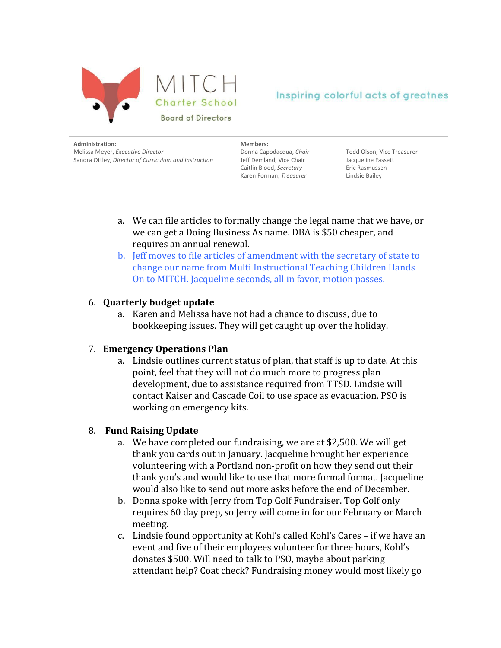

**Administration:** Melissa Meyer, *Executive Director* Sandra Ottley, *Director of Curriculum and Instruction* **Members:**

Donna Capodacqua, *Chair* Jeff Demland, Vice Chair Caitlin Blood, *Secretary* Karen Forman, *Treasurer*

Todd Olson, Vice Treasurer Jacqueline Fassett Eric Rasmussen Lindsie Bailey

- a. We can file articles to formally change the legal name that we have, or we can get a Doing Business As name. DBA is \$50 cheaper, and requires an annual renewal.
- b. Jeff moves to file articles of amendment with the secretary of state to change our name from Multi Instructional Teaching Children Hands On to MITCH. Jacqueline seconds, all in favor, motion passes.

### 6. **Quarterly budget update**

a. Karen and Melissa have not had a chance to discuss, due to bookkeeping issues. They will get caught up over the holiday.

### 7. **Emergency Operations Plan**

a. Lindsie outlines current status of plan, that staff is up to date. At this point, feel that they will not do much more to progress plan development, due to assistance required from TTSD. Lindsie will contact Kaiser and Cascade Coil to use space as evacuation. PSO is working on emergency kits.

### 8. **Fund Raising Update**

- a. We have completed our fundraising, we are at \$2,500. We will get thank you cards out in January. Jacqueline brought her experience volunteering with a Portland non-profit on how they send out their thank you's and would like to use that more formal format. Jacqueline would also like to send out more asks before the end of December.
- b. Donna spoke with Jerry from Top Golf Fundraiser. Top Golf only requires 60 day prep, so Jerry will come in for our February or March meeting.
- c. Lindsie found opportunity at Kohl's called Kohl's Cares if we have an event and five of their employees volunteer for three hours, Kohl's donates \$500. Will need to talk to PSO, maybe about parking attendant help? Coat check? Fundraising money would most likely go